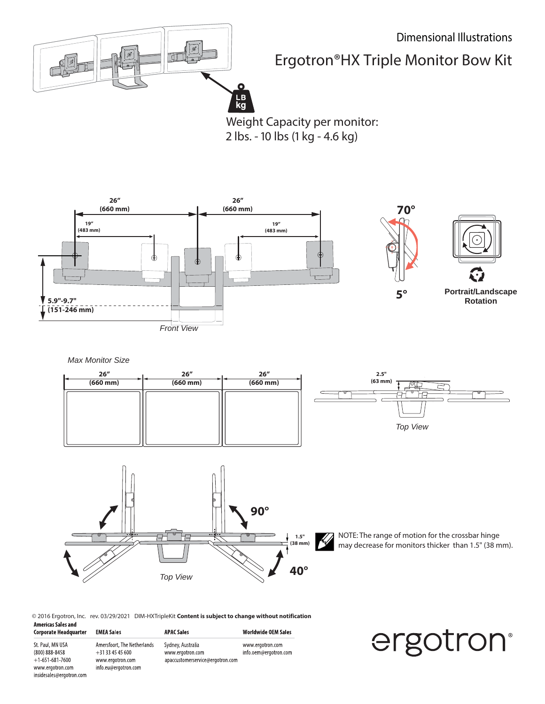

## Ergotron®HX Triple Monitor Bow Kit

Weight Capacity per monitor: 2 lbs. - 10 lbs (1 kg - 4.6 kg)



*Max Monitor Size*

insidesales@ergotron.com





NOTE: The range of motion for the crossbar hinge may decrease for monitors thicker than 1.5" (38 mm).

© 2016 Ergotron, Inc. rev. 03/29/2021 DIM-HXTripleKit **Content is subject to change without notification Americas Sales and** 

| Corporate Headquarter                                   | <b>EMEA Sales</b>                                                 | <b>APAC Sales</b>                                                         | <b>Worldwide OEM Sales</b>                |
|---------------------------------------------------------|-------------------------------------------------------------------|---------------------------------------------------------------------------|-------------------------------------------|
| St. Paul, MN USA<br>(800) 888-8458<br>$+1-651-681-7600$ | Amersfoort, The Netherlands<br>$+31334545600$<br>www.ergotron.com | Sydney, Australia<br>www.ergotron.com<br>apaccustomerservice@ergotron.com | www.ergotron.com<br>info.oem@ergotron.com |
| www.ergotron.com                                        | info.eu@eraotron.com                                              |                                                                           |                                           |

## ergotron®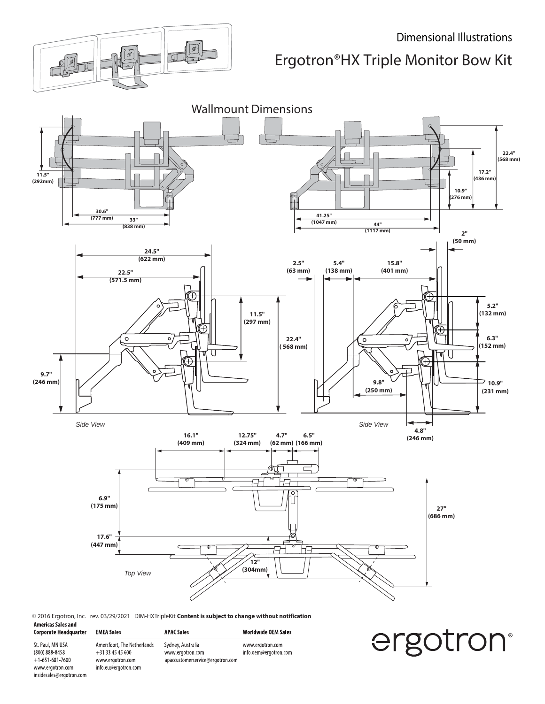

## Dimensional Illustrations

Ergotron®HX Triple Monitor Bow Kit



www.ergotron.com info.oem@ergotron.com

© 2016 Ergotron, Inc. rev. 03/29/2021 DIM-HXTripleKit **Content is subject to change without notification Americas Sales and**  $\cdots$ **Worldwide OEM Sales** 

| Corporate Headquarter | <b>EMEA Sales</b>           | <b>APAC Sales</b>                |
|-----------------------|-----------------------------|----------------------------------|
| St. Paul, MN USA      | Amersfoort, The Netherlands | Sydney, Australia                |
| (800) 888-8458        | $+31334545600$              | www.ergotron.com                 |
| $+1-651-681-7600$     | www.ergotron.com            | apaccustomerservice@ergotron.com |
| www.ergotron.com      | info.eu@ergotron.com        |                                  |

insidesales@ergotron.com

ergotron®